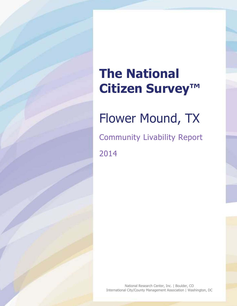# **The National Citizen Survey™**

# Flower Mound, TX

Community Livability Report 2014

National Research Center, Inc. | Boulder, CO International City/County Management Association | Washington, DC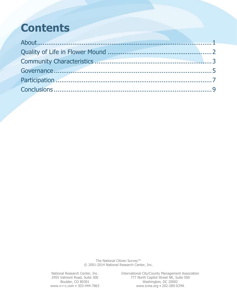## **Contents**

The National Citizen Survey™ © 2001-2014 National Research Center, Inc.

National Research Center, Inc. International City/County Management Association 2955 Valmont Road, Suite 300 777 North Capitol Street NE, Suite 500 Boulder, CO 80301 Washington, DC 20002 www.n-r-c.com • 303-444-7863 www.icma.org • 202-289-ICMA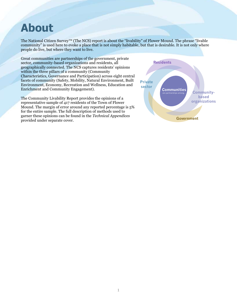## <span id="page-2-0"></span>**About**

The National Citizen Survey™ (The NCS) report is about the "livability" of Flower Mound. The phrase "livable community" is used here to evoke a place that is not simply habitable, but that is desirable. It is not only where people do live, but where they want to live.

Great communities are partnerships of the government, private sector, community-based organizations and residents, all geographically connected. The NCS captures residents' opinions within the three pillars of a community (Community Characteristics, Governance and Participation) across eight central facets of community (Safety, Mobility, Natural Environment, Built Environment, Economy, Recreation and Wellness, Education and Enrichment and Community Engagement).

The Community Livability Report provides the opinions of a representative sample of 417 residents of the Town of Flower Mound. The margin of error around any reported percentage is 5% for the entire sample. The full description of methods used to garner these opinions can be found in the *Technical Appendices* provided under separate cover.

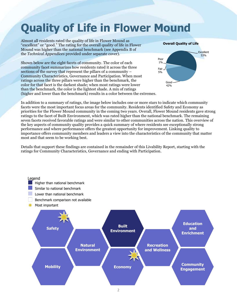## <span id="page-3-0"></span>**Quality of Life in Flower Mound**

Almost all residents rated the quality of life in Flower Mound as "excellent" or "good." The rating for the overall quality of life in Flower Mound was higher than the national benchmark (see Appendix B of the *Technical Appendices* provided under separate cover).

Shown below are the eight facets of community. The color of each community facet summarizes how residents rated it across the three sections of the survey that represent the pillars of a community – Community Characteristics, Governance and Participation. When most ratings across the three pillars were higher than the benchmark, the color for that facet is the darkest shade; when most ratings were lower than the benchmark, the color is the lightest shade. A mix of ratings (higher and lower than the benchmark) results in a color between the extremes.



In addition to a summary of ratings, the image below includes one or more stars to indicate which community facets were the most important focus areas for the community. Residents identified Safety and Economy as priorities for the Flower Mound community in the coming two years. Overall, Flower Mound residents gave strong ratings to the facet of Built Environment, which was rated higher than the national benchmark. The remaining seven facets received favorable ratings and were similar to other communities across the nation. This overview of the key aspects of community quality provides a quick summary of where residents see exceptionally strong performance and where performance offers the greatest opportunity for improvement. Linking quality to importance offers community members and leaders a view into the characteristics of the community that matter most and that seem to be working best.

Details that support these findings are contained in the remainder of this Livability Report, starting with the ratings for Community Characteristics, Governance and ending with Participation.

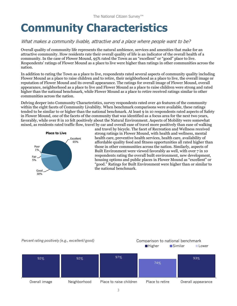## <span id="page-4-0"></span>**Community Characteristics**

### What makes a community livable, attractive and a place where people want to be?

Overall quality of community life represents the natural ambience, services and amenities that make for an attractive community. How residents rate their overall quality of life is an indicator of the overall health of a community. In the case of Flower Mound, 95% rated the Town as an "excellent" or "good" place to live. Respondents' ratings of Flower Mound as a place to live were higher than ratings in other communities across the nation.

In addition to rating the Town as a place to live, respondents rated several aspects of community quality including Flower Mound as a place to raise children and to retire, their neighborhood as a place to live, the overall image or reputation of Flower Mound and its overall appearance. The ratings for overall image of Flower Mound, overall appearance, neighborhood as a place to live and Flower Mound as a place to raise children were strong and rated higher than the national benchmark, while Flower Mound as a place to retire received ratings similar to other communities across the nation.

Delving deeper into Community Characteristics, survey respondents rated over 40 features of the community within the eight facets of Community Livability. When benchmark comparisons were available, these ratings tended to be similar to or higher than the national benchmark. At least 9 in 10 respondents rated aspects of Safety in Flower Mound, one of the facets of the community that was identified as a focus area for the next two years, favorably, while over 8 in 10 felt positively about the Natural Environment. Aspects of Mobility were somewhat mixed, as residents rated traffic flow, travel by car and overall ease of travel more positively than ease of walking



and travel by bicycle. The facet of Recreation and Wellness received strong ratings in Flower Mound, with health and wellness, mental health care, preventive health services, health care, availability of affordable quality food and fitness opportunities all rated higher than those in other communities across the nation. Similarly, aspects of Built Environment were viewed favorably as well, with over 7 in 10 respondents rating the overall built environment, new development, housing options and public places in Flower Mound as "excellent" or "good." Ratings for Built Environment were higher than or similar to the national benchmark.

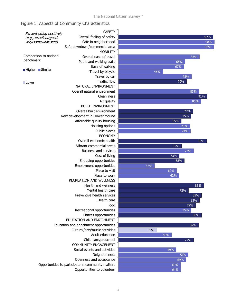### Figure 1: Aspects of Community Characteristics

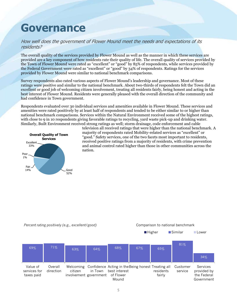## <span id="page-6-0"></span>**Governance**

### How well does the government of Flower Mound meet the needs and expectations of its residents?

The overall quality of the services provided by Flower Mound as well as the manner in which these services are provided are a key component of how residents rate their quality of life. The overall quality of services provided by the Town of Flower Mound were rated as "excellent" or "good" by 85% of respondents, while services provided by the Federal Government were rated as "excellent" or "good" by 34% of respondents. Ratings for the services provided by Flower Mound were similar to national benchmark comparisons.

Survey respondents also rated various aspects of Flower Mound's leadership and governance. Most of these ratings were positive and similar to the national benchmark. About two-thirds of respondents felt the Town did an excellent or good job of welcoming citizen involvement, treating all residents fairly, being honest and acting in the best interest of Flower Mound. Residents were generally pleased with the overall direction of the community and had confidence in Town government.

Respondents evaluated over 30 individual services and amenities available in Flower Mound. These services and amenities were rated positively by at least half of respondents and tended to be either similar to or higher than national benchmark comparisons. Services within the Natural Environment received some of the highest ratings, with close to 9 in 10 respondents giving favorable ratings to recycling, yard waste pick-up and drinking water. Similarly, Built Environment received strong ratings as well; storm drainage, code enforcement and cable



television all received ratings that were higher than the national benchmark. A majority of respondents rated Mobility-related services as "excellent" or "good." Safety services, one of the two facets most important to residents, received positive ratings from a majority of residents, with crime prevention and animal control rated higher than those in other communities across the nation.

*Percent rating positively (e.g., excellent/good)* Comparison to national benchmark

■Higher **Bimilar** Lower

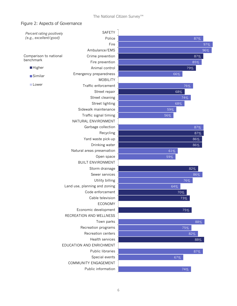### Figure 2: Aspects of Governance

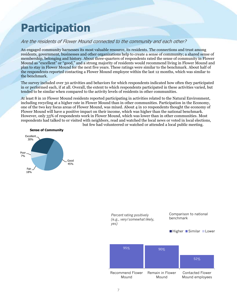## <span id="page-8-0"></span>**Participation**

## Are the residents of Flower Mound connected to the community and each other?

An engaged community harnesses its most valuable resource, its residents. The connections and trust among residents, government, businesses and other organizations help to create a sense of community; a shared sense of membership, belonging and history. About three-quarters of respondents rated the sense of community in Flower Mound as "excellent" or "good," and a strong majority of residents would recommend living in Flower Mound and plan to stay in Flower Mound for the next five years. These ratings were similar to the benchmark. About half of the respondents reported contacting a Flower Mound employee within the last 12 months, which was similar to the benchmark.

The survey included over 30 activities and behaviors for which respondents indicated how often they participated in or performed each, if at all. Overall, the extent to which respondents participated in these activities varied, but tended to be similar when compared to the activity levels of residents in other communities.

At least 8 in 10 Flower Mound residents reported participating in activities related to the Natural Environment, including recycling at a higher rate in Flower Mound than in other communities. Participation in the Economy, one of the two key focus areas of Flower Mound, was mixed. About 4 in 10 respondents thought the economy of Flower Mound will have a positive impact on their income, which was higher than the national benchmark. However, only 33% of respondents work in Flower Mound, which was lower than in other communities. Most respondents had talked to or visited with neighbors, read and watched the local news or voted in local elections, but few had volunteered or watched or attended a local public meeting.



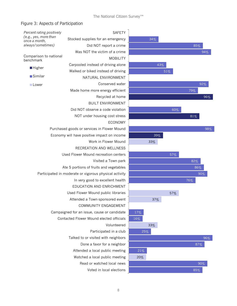## Figure 3: Aspects of Participation

| Percent rating positively                              | SAFETY                                      |             |
|--------------------------------------------------------|---------------------------------------------|-------------|
| (e.g., yes, more than<br>once a month,                 | Stocked supplies for an emergency           |             |
| always/sometimes)                                      | Did NOT report a crime                      |             |
|                                                        | Was NOT the victim of a crime               |             |
| Comparison to national<br>benchmark                    | <b>MOBILITY</b>                             |             |
|                                                        | Carpooled instead of driving alone          |             |
| <b>Higher</b>                                          | Walked or biked instead of driving          |             |
| <b>Similar</b>                                         | NATURAL ENVIRONMENT                         |             |
| <b>■Lower</b>                                          | Conserved water                             |             |
|                                                        | Made home more energy efficient             |             |
|                                                        | Recycled at home                            |             |
|                                                        | <b>BUILT ENVIRONMENT</b>                    |             |
|                                                        | Did NOT observe a code violation            |             |
|                                                        | NOT under housing cost stress               |             |
|                                                        | <b>ECONOMY</b>                              |             |
|                                                        | Purchased goods or services in Flower Mound |             |
|                                                        | Economy will have positive impact on income |             |
|                                                        | Work in Flower Mound                        |             |
|                                                        | RECREATION AND WELLNESS                     |             |
|                                                        | Used Flower Mound recreation centers        |             |
|                                                        | Visited a Town park                         |             |
|                                                        | Ate 5 portions of fruits and vegetables     |             |
| Participated in moderate or vigorous physical activity |                                             |             |
|                                                        | In very good to excellent health            |             |
|                                                        | EDUCATION AND ENRICHMENT                    |             |
|                                                        | Used Flower Mound public libraries          |             |
|                                                        | Attended a Town-sponsored event             |             |
|                                                        | COMMUNITY ENGAGEMENT                        |             |
|                                                        | Campaigned for an issue, cause or candidate | $1^{\circ}$ |
|                                                        | Contacted Flower Mound elected officials    | 16          |
|                                                        | Volunteered                                 |             |
|                                                        | Participated in a club                      |             |
|                                                        | Talked to or visited with neighbors         |             |
|                                                        | Done a favor for a neighbor                 |             |
|                                                        | Attended a local public meeting             |             |
|                                                        | Watched a local public meeting              |             |
|                                                        | Read or watched local news                  |             |
|                                                        | Voted in local elections                    |             |